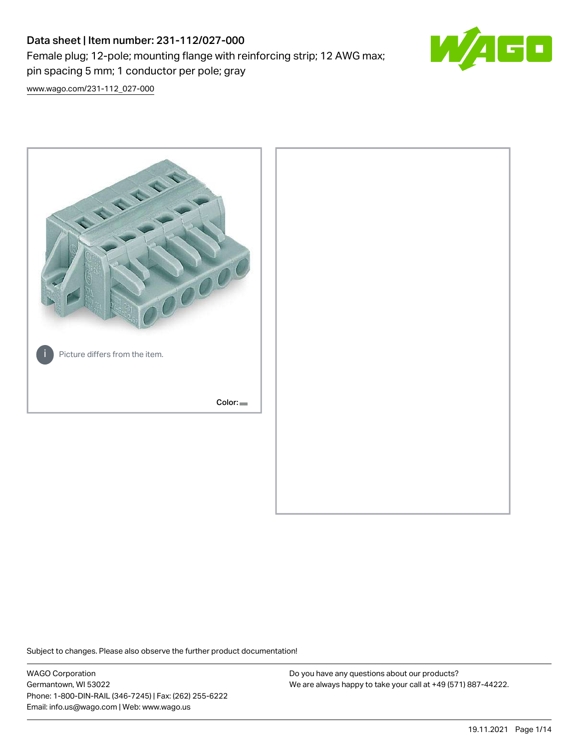# Data sheet | Item number: 231-112/027-000 Female plug; 12-pole; mounting flange with reinforcing strip; 12 AWG max; pin spacing 5 mm; 1 conductor per pole; gray



[www.wago.com/231-112\\_027-000](http://www.wago.com/231-112_027-000)



Subject to changes. Please also observe the further product documentation!

WAGO Corporation Germantown, WI 53022 Phone: 1-800-DIN-RAIL (346-7245) | Fax: (262) 255-6222 Email: info.us@wago.com | Web: www.wago.us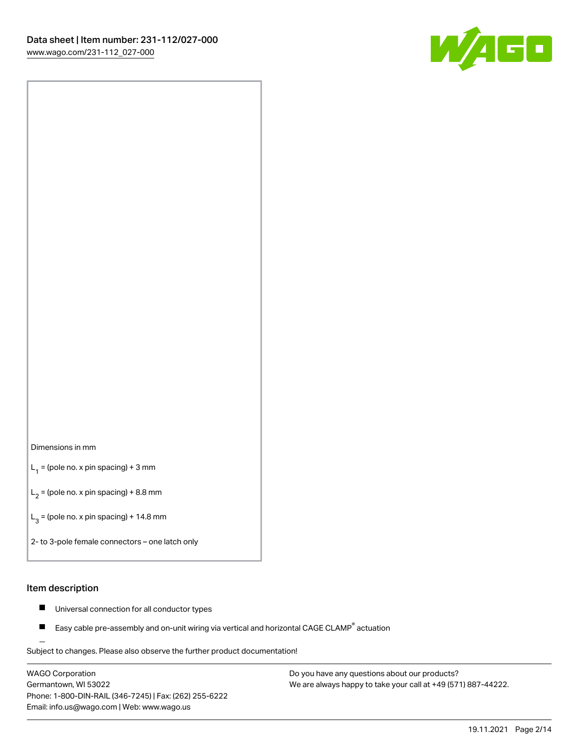

## Dimensions in mm

 $L_1$  = (pole no. x pin spacing) + 3 mm

 $L_2$  = (pole no. x pin spacing) + 8.8 mm

 $L_3$  = (pole no. x pin spacing) + 14.8 mm

2- to 3-pole female connectors – one latch only

### Item description

- $\blacksquare$ Universal connection for all conductor types
- Easy cable pre-assembly and on-unit wiring via vertical and horizontal CAGE CLAMP<sup>®</sup> actuation П

.<br>Subject to changes. Please also observe the further product documentation!

WAGO Corporation Germantown, WI 53022 Phone: 1-800-DIN-RAIL (346-7245) | Fax: (262) 255-6222 Email: info.us@wago.com | Web: www.wago.us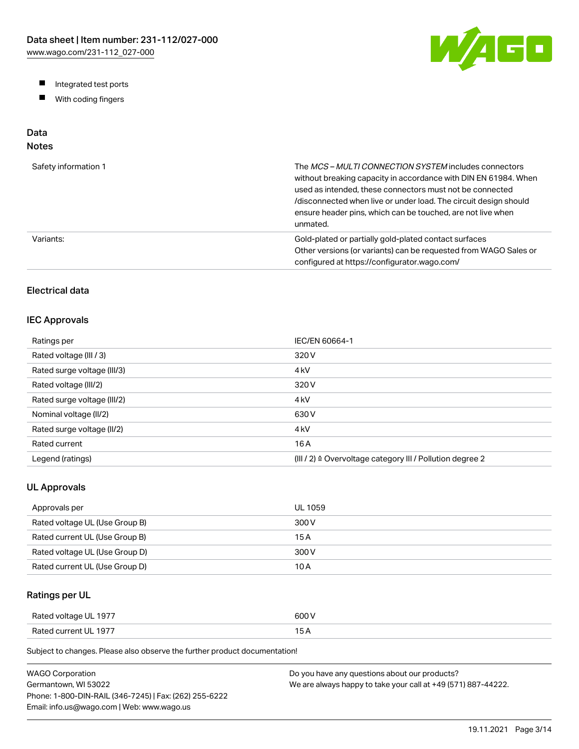W/AGO

- Integrated test ports
- $\blacksquare$ With coding fingers

# Data

# Notes

| Safety information 1 | The MCS-MULTI CONNECTION SYSTEM includes connectors<br>without breaking capacity in accordance with DIN EN 61984. When<br>used as intended, these connectors must not be connected<br>/disconnected when live or under load. The circuit design should<br>ensure header pins, which can be touched, are not live when<br>unmated. |
|----------------------|-----------------------------------------------------------------------------------------------------------------------------------------------------------------------------------------------------------------------------------------------------------------------------------------------------------------------------------|
| Variants:            | Gold-plated or partially gold-plated contact surfaces<br>Other versions (or variants) can be requested from WAGO Sales or<br>configured at https://configurator.wago.com/                                                                                                                                                         |

# Electrical data

## IEC Approvals

| Ratings per                 | IEC/EN 60664-1                                                        |
|-----------------------------|-----------------------------------------------------------------------|
| Rated voltage (III / 3)     | 320 V                                                                 |
| Rated surge voltage (III/3) | 4 <sub>kV</sub>                                                       |
| Rated voltage (III/2)       | 320 V                                                                 |
| Rated surge voltage (III/2) | 4 <sub>k</sub> V                                                      |
| Nominal voltage (II/2)      | 630 V                                                                 |
| Rated surge voltage (II/2)  | 4 <sub>k</sub> V                                                      |
| Rated current               | 16 A                                                                  |
| Legend (ratings)            | $(III / 2)$ $\triangle$ Overvoltage category III / Pollution degree 2 |

## UL Approvals

| Approvals per                  | <b>UL 1059</b> |
|--------------------------------|----------------|
| Rated voltage UL (Use Group B) | 300 V          |
| Rated current UL (Use Group B) | 15 A           |
| Rated voltage UL (Use Group D) | 300 V          |
| Rated current UL (Use Group D) | 10 A           |

## Ratings per UL

| Rated voltage UL 1977 | 600 V  |
|-----------------------|--------|
| Rated current UL 1977 | $\sim$ |

| WAGO Corporation                                       | Do you have any questions about our products?                 |
|--------------------------------------------------------|---------------------------------------------------------------|
| Germantown. WI 53022                                   | We are always happy to take your call at +49 (571) 887-44222. |
| Phone: 1-800-DIN-RAIL (346-7245)   Fax: (262) 255-6222 |                                                               |
| Email: info.us@wago.com   Web: www.wago.us             |                                                               |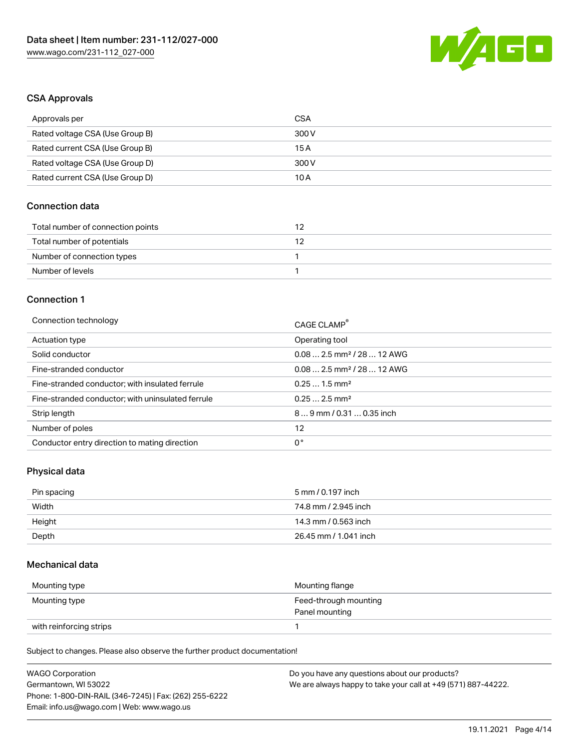

## CSA Approvals

| Approvals per                   | CSA   |
|---------------------------------|-------|
| Rated voltage CSA (Use Group B) | 300 V |
| Rated current CSA (Use Group B) | 15 A  |
| Rated voltage CSA (Use Group D) | 300 V |
| Rated current CSA (Use Group D) | 10 A  |

## Connection data

| Total number of connection points |  |
|-----------------------------------|--|
| Total number of potentials        |  |
| Number of connection types        |  |
| Number of levels                  |  |

### Connection 1

| Connection technology                             | CAGE CLAMP®                            |
|---------------------------------------------------|----------------------------------------|
| Actuation type                                    | Operating tool                         |
| Solid conductor                                   | $0.082.5$ mm <sup>2</sup> / 28  12 AWG |
| Fine-stranded conductor                           | $0.082.5$ mm <sup>2</sup> / 28  12 AWG |
| Fine-stranded conductor; with insulated ferrule   | $0.251.5$ mm <sup>2</sup>              |
| Fine-stranded conductor; with uninsulated ferrule | $0.252.5$ mm <sup>2</sup>              |
| Strip length                                      | $89$ mm / 0.31  0.35 inch              |
| Number of poles                                   | 12                                     |
| Conductor entry direction to mating direction     | 0°                                     |

## Physical data

| Pin spacing | 5 mm / 0.197 inch     |
|-------------|-----------------------|
| Width       | 74.8 mm / 2.945 inch  |
| Height      | 14.3 mm / 0.563 inch  |
| Depth       | 26.45 mm / 1.041 inch |

## Mechanical data

| Mounting type           | Mounting flange                         |
|-------------------------|-----------------------------------------|
| Mounting type           | Feed-through mounting<br>Panel mounting |
| with reinforcing strips |                                         |

| <b>WAGO Corporation</b>                                | Do you have any questions about our products?                 |
|--------------------------------------------------------|---------------------------------------------------------------|
| Germantown, WI 53022                                   | We are always happy to take your call at +49 (571) 887-44222. |
| Phone: 1-800-DIN-RAIL (346-7245)   Fax: (262) 255-6222 |                                                               |
| Email: info.us@wago.com   Web: www.wago.us             |                                                               |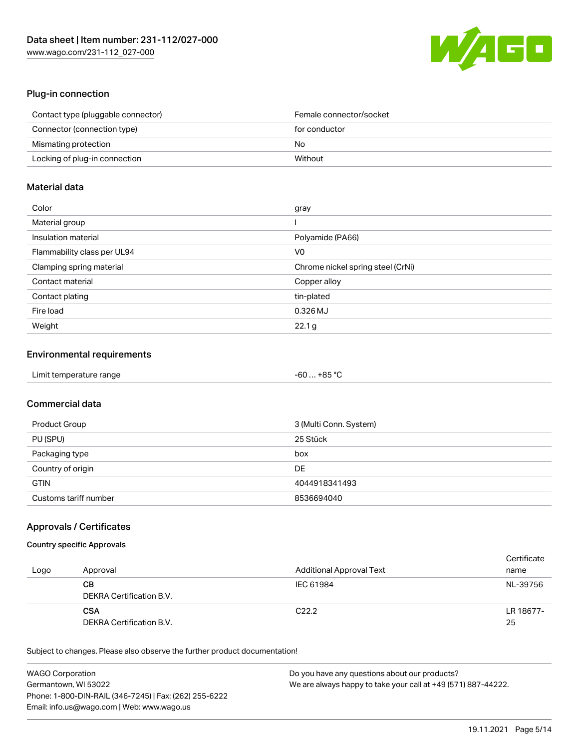

# Plug-in connection

| Contact type (pluggable connector) | Female connector/socket |
|------------------------------------|-------------------------|
| Connector (connection type)        | for conductor           |
| Mismating protection               | No                      |
| Locking of plug-in connection      | Without                 |

## Material data

| Color                       | gray                              |
|-----------------------------|-----------------------------------|
| Material group              |                                   |
| Insulation material         | Polyamide (PA66)                  |
| Flammability class per UL94 | V0                                |
| Clamping spring material    | Chrome nickel spring steel (CrNi) |
| Contact material            | Copper alloy                      |
| Contact plating             | tin-plated                        |
| Fire load                   | 0.326 MJ                          |
| Weight                      | 22.1 <sub>g</sub>                 |

## Environmental requirements

| Limit temperature range | -60 … +85 °C |
|-------------------------|--------------|
|-------------------------|--------------|

# Commercial data

| Product Group         | 3 (Multi Conn. System) |
|-----------------------|------------------------|
| PU (SPU)              | 25 Stück               |
| Packaging type        | box                    |
| Country of origin     | DE                     |
| <b>GTIN</b>           | 4044918341493          |
| Customs tariff number | 8536694040             |

## Approvals / Certificates

### Country specific Approvals

| Logo | Approval                               | Additional Approval Text | Certificate<br>name |
|------|----------------------------------------|--------------------------|---------------------|
|      | CВ<br>DEKRA Certification B.V.         | IEC 61984                | NL-39756            |
|      | <b>CSA</b><br>DEKRA Certification B.V. | C <sub>22.2</sub>        | LR 18677-<br>25     |

| <b>WAGO Corporation</b>                                | Do you have any questions about our products?                 |
|--------------------------------------------------------|---------------------------------------------------------------|
| Germantown, WI 53022                                   | We are always happy to take your call at +49 (571) 887-44222. |
| Phone: 1-800-DIN-RAIL (346-7245)   Fax: (262) 255-6222 |                                                               |
| Email: info.us@wago.com   Web: www.wago.us             |                                                               |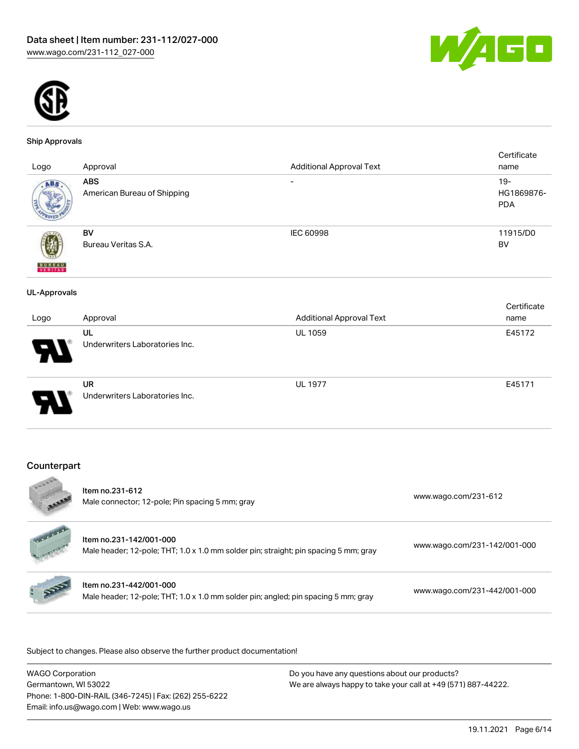



#### Ship Approvals

| Logo                | Approval                                  | <b>Additional Approval Text</b> | Certificate<br>name                |
|---------------------|-------------------------------------------|---------------------------------|------------------------------------|
| ABS                 | <b>ABS</b><br>American Bureau of Shipping | $\qquad \qquad$                 | $19 -$<br>HG1869876-<br><b>PDA</b> |
| <b>BUNEAU</b>       | BV<br>Bureau Veritas S.A.                 | IEC 60998                       | 11915/D0<br>BV                     |
| <b>UL-Approvals</b> |                                           |                                 |                                    |
|                     |                                           |                                 | Certificate                        |
| Logo                | Approval                                  | <b>Additional Approval Text</b> | name                               |
|                     | UL<br>Underwriters Laboratories Inc.      | <b>UL 1059</b>                  | E45172                             |
|                     | UR<br>Underwriters Laboratories Inc.      | <b>UL 1977</b>                  | E45171                             |
|                     |                                           |                                 |                                    |

## Counterpart

| EDDOG                | Item no.231-612<br>Male connector; 12-pole; Pin spacing 5 mm; gray                                              | www.wago.com/231-612         |
|----------------------|-----------------------------------------------------------------------------------------------------------------|------------------------------|
| <b>Surface Calls</b> | Item no.231-142/001-000<br>Male header; 12-pole; THT; 1.0 x 1.0 mm solder pin; straight; pin spacing 5 mm; gray | www.wago.com/231-142/001-000 |
|                      | Item no.231-442/001-000<br>Male header; 12-pole; THT; 1.0 x 1.0 mm solder pin; angled; pin spacing 5 mm; gray   | www.wago.com/231-442/001-000 |
|                      |                                                                                                                 |                              |

| WAGO Corporation                                       | Do you have any questions about our products?                 |
|--------------------------------------------------------|---------------------------------------------------------------|
| Germantown, WI 53022                                   | We are always happy to take your call at +49 (571) 887-44222. |
| Phone: 1-800-DIN-RAIL (346-7245)   Fax: (262) 255-6222 |                                                               |
| Email: info.us@wago.com   Web: www.wago.us             |                                                               |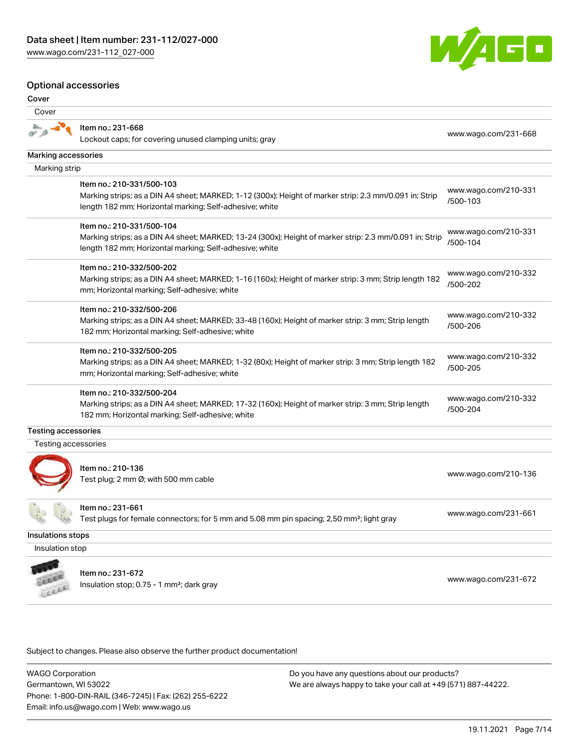### Optional accessories

Marking accessories Marking strip

#### Cover

 $\frac{a}{a}$ 

Cover



#### Marking strips; as a DIN A4 sheet; MARKED; 1-16 (160x); Height of marker strip: 3 mm; Strip length 182 mm; Horizontal marking; Self-adhesive; white [/500-202](http://www.wago.com/210-332/500-202) Item no.: 210-332/500-206

Marking strips; as a DIN A4 sheet; MARKED; 33-48 (160x); Height of marker strip: 3 mm; Strip length 182 mm; Horizontal marking; Self-adhesive; white [www.wago.com/210-332](http://www.wago.com/210-332/500-206) [/500-206](http://www.wago.com/210-332/500-206)

#### Item no.: 210-332/500-205

Marking strips; as a DIN A4 sheet; MARKED; 1-32 (80x); Height of marker strip: 3 mm; Strip length 182 mm; Horizontal marking; Self-adhesive; white [www.wago.com/210-332](http://www.wago.com/210-332/500-205) [/500-205](http://www.wago.com/210-332/500-205)

#### Item no.: 210-332/500-204

Marking strips; as a DIN A4 sheet; MARKED; 17-32 (160x); Height of marker strip: 3 mm; Strip length 182 mm; Horizontal marking; Self-adhesive; white [www.wago.com/210-332](http://www.wago.com/210-332/500-204) [/500-204](http://www.wago.com/210-332/500-204)

#### Testing accessories

Testing accessories



Item no.: 210-136 ntem no... 210–150<br>Test plug; 2 mm Ø; with 500 mm cable [www.wago.com/210-136](http://www.wago.com/210-136)

Item no.: 231-661

Test plugs for female connectors; for 5 mm and 5.08 mm pin spacing; 2,50 mm²; light gray [www.wago.com/231-661](http://www.wago.com/231-661)

Insulations stops

Insulation stop



Item no.: 231-672 Insulation stop; 0.75 - 1 mm<sup>2</sup>; dark gray [www.wago.com/231-672](http://www.wago.com/231-672)<br>Insulation stop; 0.75 - 1 mm<sup>2</sup>; dark gray

Subject to changes. Please also observe the further product documentation!

WAGO Corporation Germantown, WI 53022 Phone: 1-800-DIN-RAIL (346-7245) | Fax: (262) 255-6222 Email: info.us@wago.com | Web: www.wago.us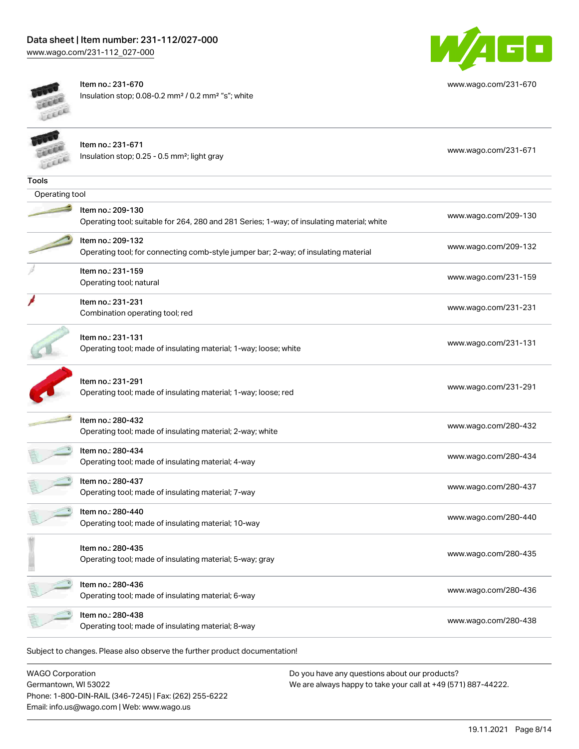

[www.wago.com/231-670](http://www.wago.com/231-670)

Item no.: 231-670 Insulation stop; 0.08-0.2 mm² / 0.2 mm² "s"; white

|                | Item no.: 231-671<br>Insulation stop; 0.25 - 0.5 mm <sup>2</sup> ; light gray                                   | www.wago.com/231-671 |
|----------------|-----------------------------------------------------------------------------------------------------------------|----------------------|
| <b>Tools</b>   |                                                                                                                 |                      |
| Operating tool |                                                                                                                 |                      |
|                | Item no.: 209-130<br>Operating tool; suitable for 264, 280 and 281 Series; 1-way; of insulating material; white | www.wago.com/209-130 |
|                | Item no.: 209-132<br>Operating tool; for connecting comb-style jumper bar; 2-way; of insulating material        | www.wago.com/209-132 |
|                | Item no.: 231-159<br>Operating tool; natural                                                                    | www.wago.com/231-159 |
|                | Item no.: 231-231<br>Combination operating tool; red                                                            | www.wago.com/231-231 |
|                | Item no.: 231-131<br>Operating tool; made of insulating material; 1-way; loose; white                           | www.wago.com/231-131 |
|                | Item no.: 231-291<br>Operating tool; made of insulating material; 1-way; loose; red                             | www.wago.com/231-291 |
|                | Item no.: 280-432<br>Operating tool; made of insulating material; 2-way; white                                  | www.wago.com/280-432 |
|                | Item no.: 280-434<br>Operating tool; made of insulating material; 4-way                                         | www.wago.com/280-434 |
|                | Item no.: 280-437<br>Operating tool; made of insulating material; 7-way                                         | www.wago.com/280-437 |
|                | Item no.: 280-440<br>Operating tool; made of insulating material; 10-way                                        | www.wago.com/280-440 |
|                | Item no.: 280-435<br>Operating tool; made of insulating material; 5-way; gray                                   | www.wago.com/280-435 |
|                | Item no.: 280-436<br>Operating tool; made of insulating material; 6-way                                         | www.wago.com/280-436 |
|                | Item no.: 280-438<br>Operating tool; made of insulating material; 8-way                                         | www.wago.com/280-438 |
|                | Subject to changes. Please also observe the further product documentation!                                      |                      |

WAGO Corporation Germantown, WI 53022 Phone: 1-800-DIN-RAIL (346-7245) | Fax: (262) 255-6222 Email: info.us@wago.com | Web: www.wago.us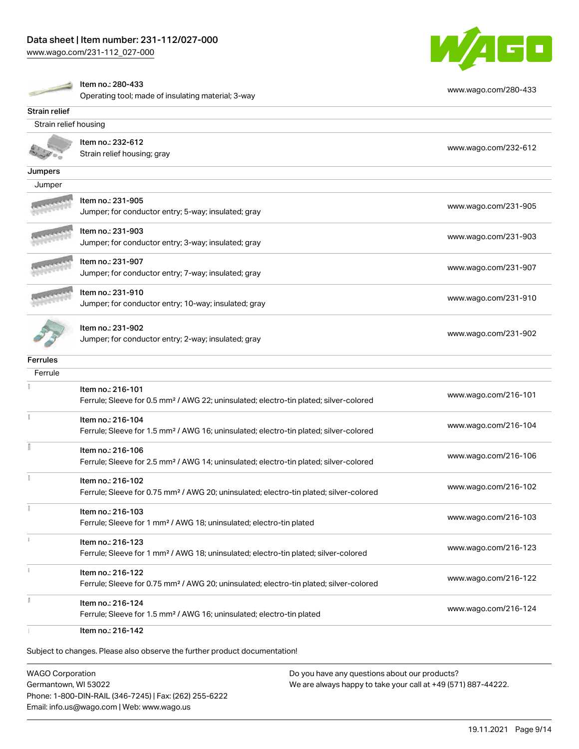# Data sheet | Item number: 231-112/027-000

[www.wago.com/231-112\\_027-000](http://www.wago.com/231-112_027-000)



|                       | Item no.: 280-433                                                                                                       | www.wago.com/280-433 |
|-----------------------|-------------------------------------------------------------------------------------------------------------------------|----------------------|
|                       | Operating tool; made of insulating material; 3-way                                                                      |                      |
| Strain relief         |                                                                                                                         |                      |
| Strain relief housing |                                                                                                                         |                      |
|                       | Item no.: 232-612                                                                                                       |                      |
|                       | Strain relief housing; gray                                                                                             | www.wago.com/232-612 |
| Jumpers               |                                                                                                                         |                      |
| Jumper                |                                                                                                                         |                      |
|                       | Item no.: 231-905                                                                                                       |                      |
|                       | Jumper; for conductor entry; 5-way; insulated; gray                                                                     | www.wago.com/231-905 |
|                       |                                                                                                                         |                      |
|                       | Item no.: 231-903                                                                                                       | www.wago.com/231-903 |
|                       | Jumper; for conductor entry; 3-way; insulated; gray                                                                     |                      |
|                       | Item no.: 231-907                                                                                                       | www.wago.com/231-907 |
|                       | Jumper; for conductor entry; 7-way; insulated; gray                                                                     |                      |
|                       | Item no.: 231-910                                                                                                       |                      |
|                       | Jumper; for conductor entry; 10-way; insulated; gray                                                                    | www.wago.com/231-910 |
|                       |                                                                                                                         |                      |
|                       | Item no.: 231-902                                                                                                       | www.wago.com/231-902 |
|                       | Jumper; for conductor entry; 2-way; insulated; gray                                                                     |                      |
| <b>Ferrules</b>       |                                                                                                                         |                      |
| Ferrule               |                                                                                                                         |                      |
|                       | Item no.: 216-101                                                                                                       |                      |
|                       | Ferrule; Sleeve for 0.5 mm <sup>2</sup> / AWG 22; uninsulated; electro-tin plated; silver-colored                       | www.wago.com/216-101 |
|                       | Item no.: 216-104                                                                                                       |                      |
|                       | Ferrule; Sleeve for 1.5 mm <sup>2</sup> / AWG 16; uninsulated; electro-tin plated; silver-colored                       | www.wago.com/216-104 |
|                       | Item no.: 216-106                                                                                                       |                      |
|                       | Ferrule; Sleeve for 2.5 mm <sup>2</sup> / AWG 14; uninsulated; electro-tin plated; silver-colored                       | www.wago.com/216-106 |
|                       |                                                                                                                         |                      |
|                       | Item no.: 216-102<br>Ferrule; Sleeve for 0.75 mm <sup>2</sup> / AWG 20; uninsulated; electro-tin plated; silver-colored | www.wago.com/216-102 |
|                       |                                                                                                                         |                      |
|                       | Item no.: 216-103                                                                                                       | www.wago.com/216-103 |
|                       | Ferrule; Sleeve for 1 mm <sup>2</sup> / AWG 18; uninsulated; electro-tin plated                                         |                      |
| î.                    | Item no.: 216-123                                                                                                       |                      |
|                       | Ferrule; Sleeve for 1 mm <sup>2</sup> / AWG 18; uninsulated; electro-tin plated; silver-colored                         | www.wago.com/216-123 |
|                       | Item no.: 216-122                                                                                                       |                      |
|                       | Ferrule; Sleeve for 0.75 mm <sup>2</sup> / AWG 20; uninsulated; electro-tin plated; silver-colored                      | www.wago.com/216-122 |
|                       |                                                                                                                         |                      |
|                       | Item no.: 216-124<br>Ferrule; Sleeve for 1.5 mm <sup>2</sup> / AWG 16; uninsulated; electro-tin plated                  | www.wago.com/216-124 |
|                       |                                                                                                                         |                      |
|                       | Item no.: 216-142                                                                                                       |                      |

Subject to changes. Please also observe the further product documentation!

WAGO Corporation Germantown, WI 53022 Phone: 1-800-DIN-RAIL (346-7245) | Fax: (262) 255-6222 Email: info.us@wago.com | Web: www.wago.us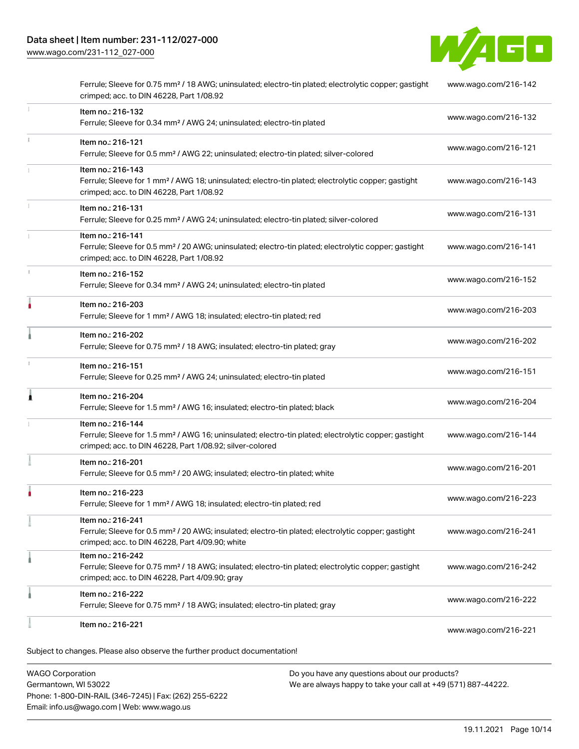[www.wago.com/231-112\\_027-000](http://www.wago.com/231-112_027-000)



|    | Item no.: 216-221                                                                                                                                                                                 | www.wago.com/216-221 |
|----|---------------------------------------------------------------------------------------------------------------------------------------------------------------------------------------------------|----------------------|
|    | Item no.: 216-222<br>Ferrule; Sleeve for 0.75 mm <sup>2</sup> / 18 AWG; insulated; electro-tin plated; gray                                                                                       | www.wago.com/216-222 |
|    | Item no.: 216-242<br>Ferrule; Sleeve for 0.75 mm <sup>2</sup> / 18 AWG; insulated; electro-tin plated; electrolytic copper; gastight<br>crimped; acc. to DIN 46228, Part 4/09.90; gray            | www.wago.com/216-242 |
|    | Item no.: 216-241<br>Ferrule; Sleeve for 0.5 mm <sup>2</sup> / 20 AWG; insulated; electro-tin plated; electrolytic copper; gastight<br>crimped; acc. to DIN 46228, Part 4/09.90; white            | www.wago.com/216-241 |
|    | Item no.: 216-223<br>Ferrule; Sleeve for 1 mm <sup>2</sup> / AWG 18; insulated; electro-tin plated; red                                                                                           | www.wago.com/216-223 |
|    | Item no.: 216-201<br>Ferrule; Sleeve for 0.5 mm <sup>2</sup> / 20 AWG; insulated; electro-tin plated; white                                                                                       | www.wago.com/216-201 |
|    | Item no.: 216-144<br>Ferrule; Sleeve for 1.5 mm <sup>2</sup> / AWG 16; uninsulated; electro-tin plated; electrolytic copper; gastight<br>crimped; acc. to DIN 46228, Part 1/08.92; silver-colored | www.wago.com/216-144 |
| Â  | Item no.: 216-204<br>Ferrule; Sleeve for 1.5 mm <sup>2</sup> / AWG 16; insulated; electro-tin plated; black                                                                                       | www.wago.com/216-204 |
|    | Item no.: 216-151<br>Ferrule; Sleeve for 0.25 mm <sup>2</sup> / AWG 24; uninsulated; electro-tin plated                                                                                           | www.wago.com/216-151 |
|    | Item no.: 216-202<br>Ferrule; Sleeve for 0.75 mm <sup>2</sup> / 18 AWG; insulated; electro-tin plated; gray                                                                                       | www.wago.com/216-202 |
| ۸  | Item no.: 216-203<br>Ferrule; Sleeve for 1 mm <sup>2</sup> / AWG 18; insulated; electro-tin plated; red                                                                                           | www.wago.com/216-203 |
| t. | Item no.: 216-152<br>Ferrule; Sleeve for 0.34 mm <sup>2</sup> / AWG 24; uninsulated; electro-tin plated                                                                                           | www.wago.com/216-152 |
|    | Item no.: 216-141<br>Ferrule; Sleeve for 0.5 mm <sup>2</sup> / 20 AWG; uninsulated; electro-tin plated; electrolytic copper; gastight<br>crimped; acc. to DIN 46228, Part 1/08.92                 | www.wago.com/216-141 |
|    | Item no.: 216-131<br>Ferrule; Sleeve for 0.25 mm <sup>2</sup> / AWG 24; uninsulated; electro-tin plated; silver-colored                                                                           | www.wago.com/216-131 |
|    | Item no.: 216-143<br>Ferrule; Sleeve for 1 mm <sup>2</sup> / AWG 18; uninsulated; electro-tin plated; electrolytic copper; gastight<br>crimped; acc. to DIN 46228, Part 1/08.92                   | www.wago.com/216-143 |
| ī. | Item no.: 216-121<br>Ferrule; Sleeve for 0.5 mm <sup>2</sup> / AWG 22; uninsulated; electro-tin plated; silver-colored                                                                            | www.wago.com/216-121 |
| 1  | Item no.: 216-132<br>Ferrule; Sleeve for 0.34 mm <sup>2</sup> / AWG 24; uninsulated; electro-tin plated                                                                                           | www.wago.com/216-132 |
|    | Ferrule; Sleeve for 0.75 mm <sup>2</sup> / 18 AWG; uninsulated; electro-tin plated; electrolytic copper; gastight<br>crimped; acc. to DIN 46228, Part 1/08.92                                     | www.wago.com/216-142 |

WAGO Corporation Germantown, WI 53022 Phone: 1-800-DIN-RAIL (346-7245) | Fax: (262) 255-6222 Email: info.us@wago.com | Web: www.wago.us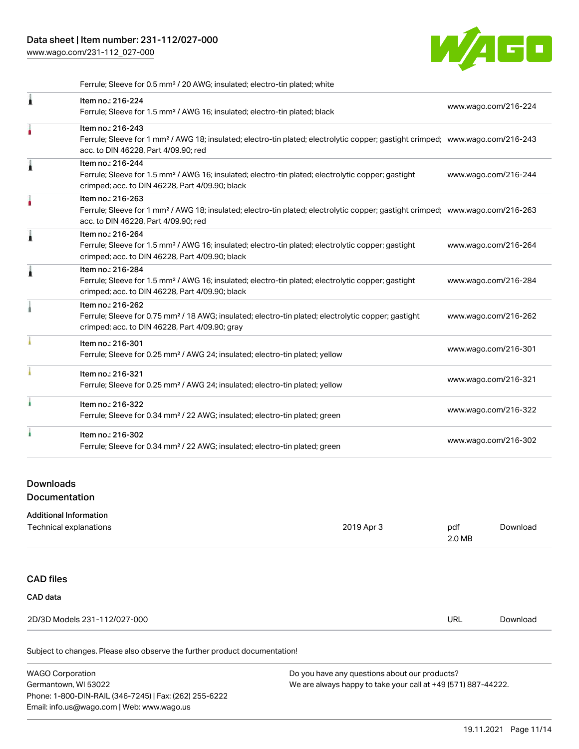[www.wago.com/231-112\\_027-000](http://www.wago.com/231-112_027-000)



Ferrule; Sleeve for 0.5 mm² / 20 AWG; insulated; electro-tin plated; white

|   | Item no.: 216-224<br>Ferrule; Sleeve for 1.5 mm <sup>2</sup> / AWG 16; insulated; electro-tin plated; black                                                                                             | www.wago.com/216-224 |
|---|---------------------------------------------------------------------------------------------------------------------------------------------------------------------------------------------------------|----------------------|
|   | Item no.: 216-243<br>Ferrule; Sleeve for 1 mm <sup>2</sup> / AWG 18; insulated; electro-tin plated; electrolytic copper; gastight crimped; www.wago.com/216-243<br>acc. to DIN 46228, Part 4/09.90; red |                      |
|   | Item no.: 216-244<br>Ferrule; Sleeve for 1.5 mm <sup>2</sup> / AWG 16; insulated; electro-tin plated; electrolytic copper; gastight<br>crimped; acc. to DIN 46228, Part 4/09.90; black                  | www.wago.com/216-244 |
|   | Item no.: 216-263<br>Ferrule; Sleeve for 1 mm <sup>2</sup> / AWG 18; insulated; electro-tin plated; electrolytic copper; gastight crimped; www.wago.com/216-263<br>acc. to DIN 46228, Part 4/09.90; red |                      |
| ۸ | Item no.: 216-264<br>Ferrule; Sleeve for 1.5 mm <sup>2</sup> / AWG 16; insulated; electro-tin plated; electrolytic copper; gastight<br>crimped; acc. to DIN 46228, Part 4/09.90; black                  | www.wago.com/216-264 |
|   | Item no.: 216-284<br>Ferrule; Sleeve for 1.5 mm <sup>2</sup> / AWG 16; insulated; electro-tin plated; electrolytic copper; gastight<br>crimped; acc. to DIN 46228, Part 4/09.90; black                  | www.wago.com/216-284 |
|   | Item no.: 216-262<br>Ferrule; Sleeve for 0.75 mm <sup>2</sup> / 18 AWG; insulated; electro-tin plated; electrolytic copper; gastight<br>crimped; acc. to DIN 46228, Part 4/09.90; gray                  | www.wago.com/216-262 |
|   | Item no.: 216-301<br>Ferrule; Sleeve for 0.25 mm <sup>2</sup> / AWG 24; insulated; electro-tin plated; yellow                                                                                           | www.wago.com/216-301 |
|   | Item no.: 216-321<br>Ferrule; Sleeve for 0.25 mm <sup>2</sup> / AWG 24; insulated; electro-tin plated; yellow                                                                                           | www.wago.com/216-321 |
|   | Item no.: 216-322<br>Ferrule; Sleeve for 0.34 mm <sup>2</sup> / 22 AWG; insulated; electro-tin plated; green                                                                                            | www.wago.com/216-322 |
|   | Item no.: 216-302<br>Ferrule; Sleeve for 0.34 mm <sup>2</sup> / 22 AWG; insulated; electro-tin plated; green                                                                                            | www.wago.com/216-302 |
|   |                                                                                                                                                                                                         |                      |

## Downloads

**Documentation** 

| <b>Additional Information</b> |            |               |          |  |  |
|-------------------------------|------------|---------------|----------|--|--|
| Technical explanations        | 2019 Apr 3 | pdf<br>2.0 MB | Download |  |  |
|                               |            |               |          |  |  |
| <b>CAD files</b>              |            |               |          |  |  |
| CAD data                      |            |               |          |  |  |
| 2D/3D Models 231-112/027-000  |            | <b>URL</b>    | Download |  |  |
|                               |            |               |          |  |  |

| <b>WAGO Corporation</b>                                | Do you have any questions about our products?                 |  |
|--------------------------------------------------------|---------------------------------------------------------------|--|
| Germantown, WI 53022                                   | We are always happy to take your call at +49 (571) 887-44222. |  |
| Phone: 1-800-DIN-RAIL (346-7245)   Fax: (262) 255-6222 |                                                               |  |
| Email: info.us@wago.com   Web: www.wago.us             |                                                               |  |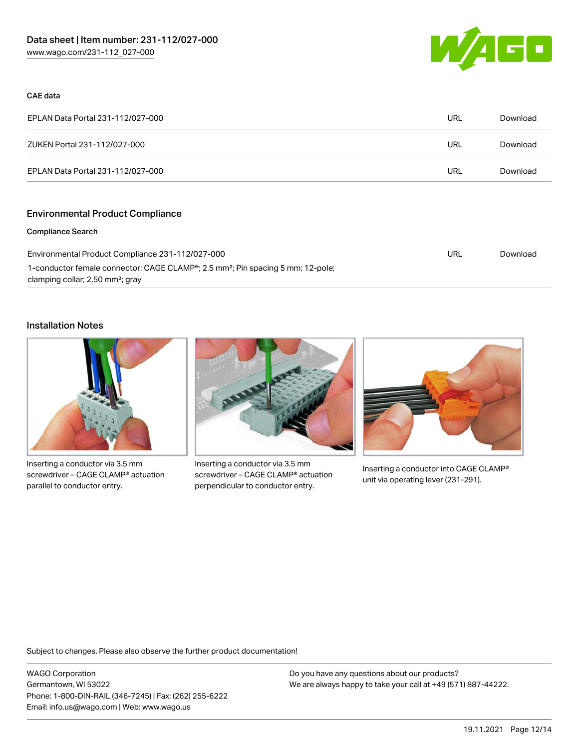

#### CAE data

| EPLAN Data Portal 231-112/027-000 |     | Download |
|-----------------------------------|-----|----------|
| ZUKEN Portal 231-112/027-000      | URL | Download |
| EPLAN Data Portal 231-112/027-000 | URL | Download |

# Environmental Product Compliance

#### Compliance Search

| Environmental Product Compliance 231-112/027-000                                                         | URL | Download |
|----------------------------------------------------------------------------------------------------------|-----|----------|
| 1-conductor female connector; CAGE CLAMP <sup>®</sup> ; 2.5 mm <sup>2</sup> ; Pin spacing 5 mm; 12-pole; |     |          |
| clamping collar; 2,50 mm <sup>2</sup> ; gray                                                             |     |          |

#### Installation Notes



Inserting a conductor via 3.5 mm screwdriver – CAGE CLAMP® actuation parallel to conductor entry.



Inserting a conductor via 3.5 mm screwdriver – CAGE CLAMP® actuation perpendicular to conductor entry.



Inserting a conductor into CAGE CLAMP® unit via operating lever (231-291).

Subject to changes. Please also observe the further product documentation!

WAGO Corporation Germantown, WI 53022 Phone: 1-800-DIN-RAIL (346-7245) | Fax: (262) 255-6222 Email: info.us@wago.com | Web: www.wago.us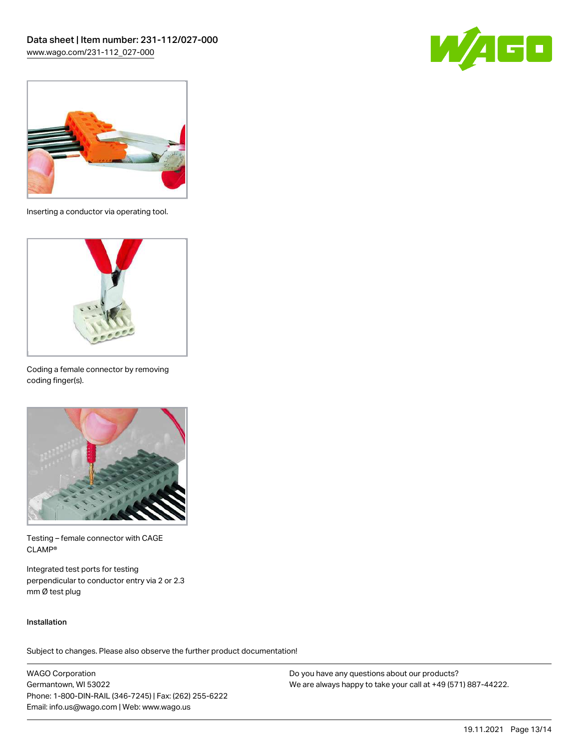



Inserting a conductor via operating tool.



Coding a female connector by removing coding finger(s).



Testing – female connector with CAGE CLAMP®

Integrated test ports for testing perpendicular to conductor entry via 2 or 2.3 mm Ø test plug

### Installation

Subject to changes. Please also observe the further product documentation!

WAGO Corporation Germantown, WI 53022 Phone: 1-800-DIN-RAIL (346-7245) | Fax: (262) 255-6222 Email: info.us@wago.com | Web: www.wago.us